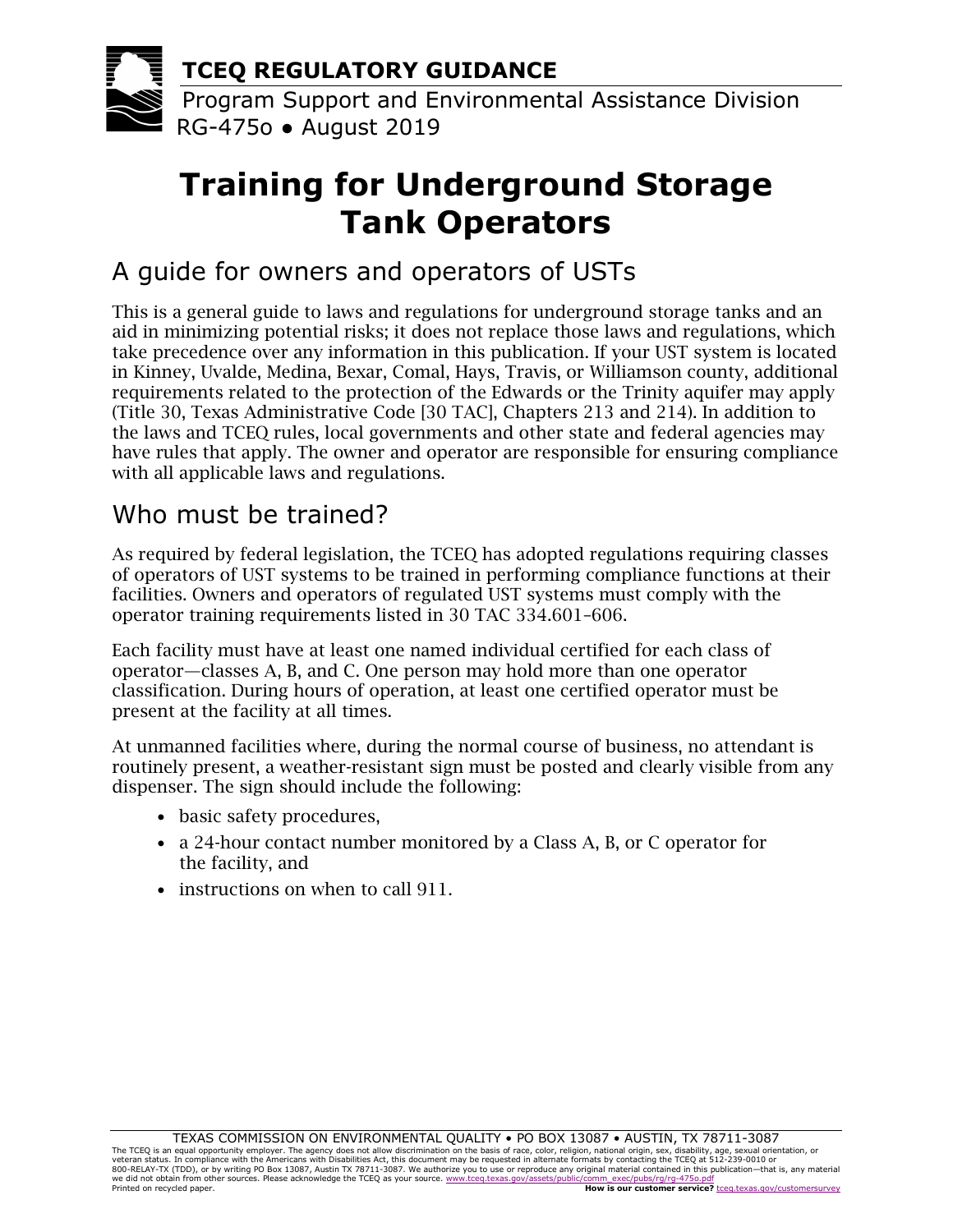

# **Training for Underground Storage Tank Operators**

# A guide for owners and operators of USTs

This is a general guide to laws and regulations for underground storage tanks and an aid in minimizing potential risks; it does not replace those laws and regulations, which take precedence over any information in this publication. If your UST system is located in Kinney, Uvalde, Medina, Bexar, Comal, Hays, Travis, or Williamson county, additional requirements related to the protection of the Edwards or the Trinity aquifer may apply (Title 30, Texas Administrative Code [30 TAC], Chapters 213 and 214). In addition to the laws and TCEQ rules, local governments and other state and federal agencies may have rules that apply. The owner and operator are responsible for ensuring compliance with all applicable laws and regulations.

## Who must be trained?

As required by federal legislation, the TCEQ has adopted regulations requiring classes of operators of UST systems to be trained in performing compliance functions at their facilities. Owners and operators of regulated UST systems must comply with the operator training requirements listed in 30 TAC 334.601–606.

Each facility must have at least one named individual certified for each class of operator—classes A, B, and C. One person may hold more than one operator classification. During hours of operation, at least one certified operator must be present at the facility at all times.

At unmanned facilities where, during the normal course of business, no attendant is routinely present, a weather-resistant sign must be posted and clearly visible from any dispenser. The sign should include the following:

- basic safety procedures,
- a 24-hour contact number monitored by a Class A, B, or C operator for the facility, and
- instructions on when to call 911.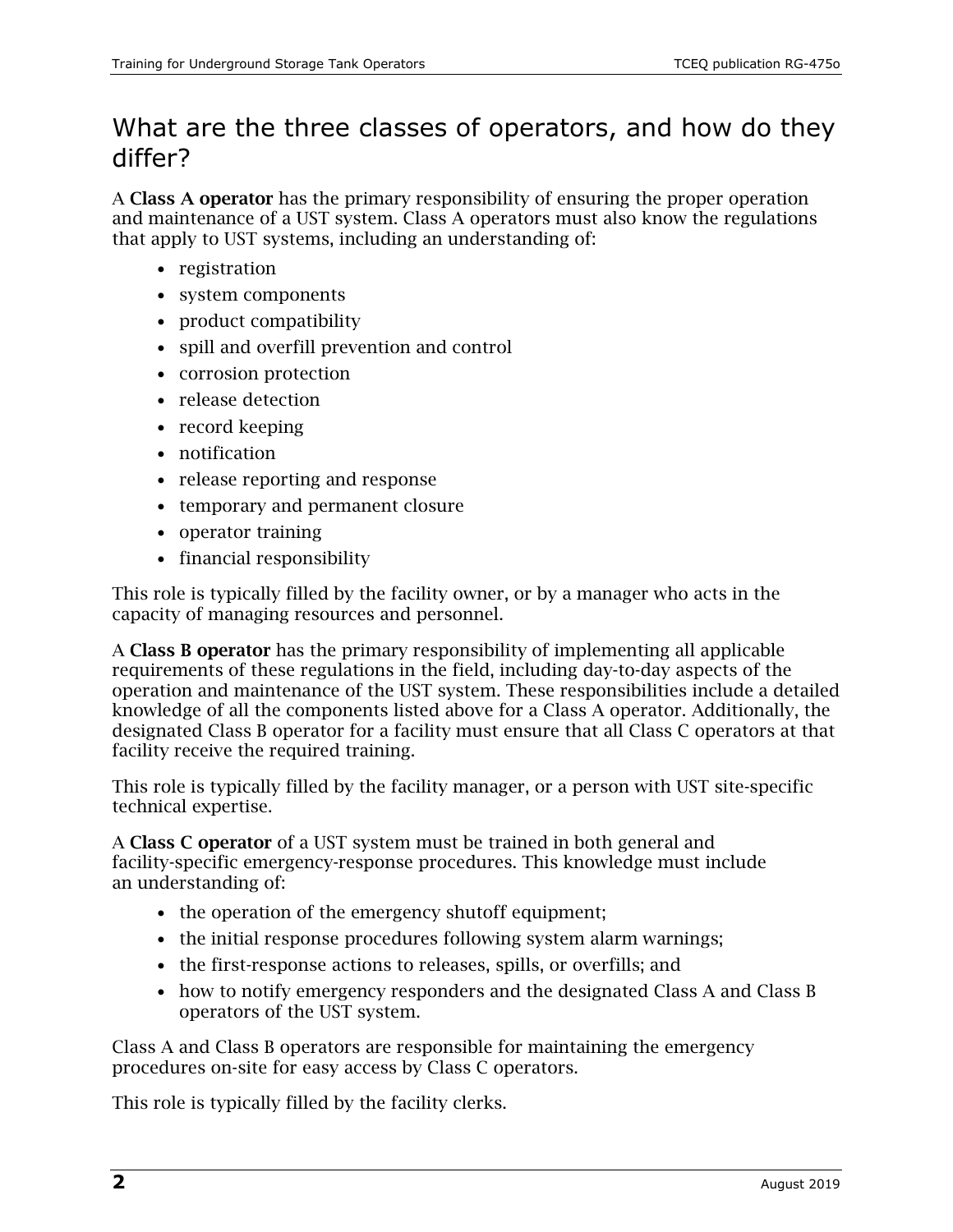## What are the three classes of operators, and how do they differ?

A Class A operator has the primary responsibility of ensuring the proper operation and maintenance of a UST system. Class A operators must also know the regulations that apply to UST systems, including an understanding of:

- registration
- system components
- product compatibility
- spill and overfill prevention and control
- corrosion protection
- release detection
- record keeping
- notification
- release reporting and response
- temporary and permanent closure
- operator training
- financial responsibility

This role is typically filled by the facility owner, or by a manager who acts in the capacity of managing resources and personnel.

A Class B operator has the primary responsibility of implementing all applicable requirements of these regulations in the field, including day-to-day aspects of the operation and maintenance of the UST system. These responsibilities include a detailed knowledge of all the components listed above for a Class A operator. Additionally, the designated Class B operator for a facility must ensure that all Class C operators at that facility receive the required training.

This role is typically filled by the facility manager, or a person with UST site-specific technical expertise.

A Class C operator of a UST system must be trained in both general and facility-specific emergency-response procedures. This knowledge must include an understanding of:

- the operation of the emergency shutoff equipment;
- the initial response procedures following system alarm warnings;
- the first-response actions to releases, spills, or overfills; and
- how to notify emergency responders and the designated Class A and Class B operators of the UST system.

Class A and Class B operators are responsible for maintaining the emergency procedures on-site for easy access by Class C operators.

This role is typically filled by the facility clerks.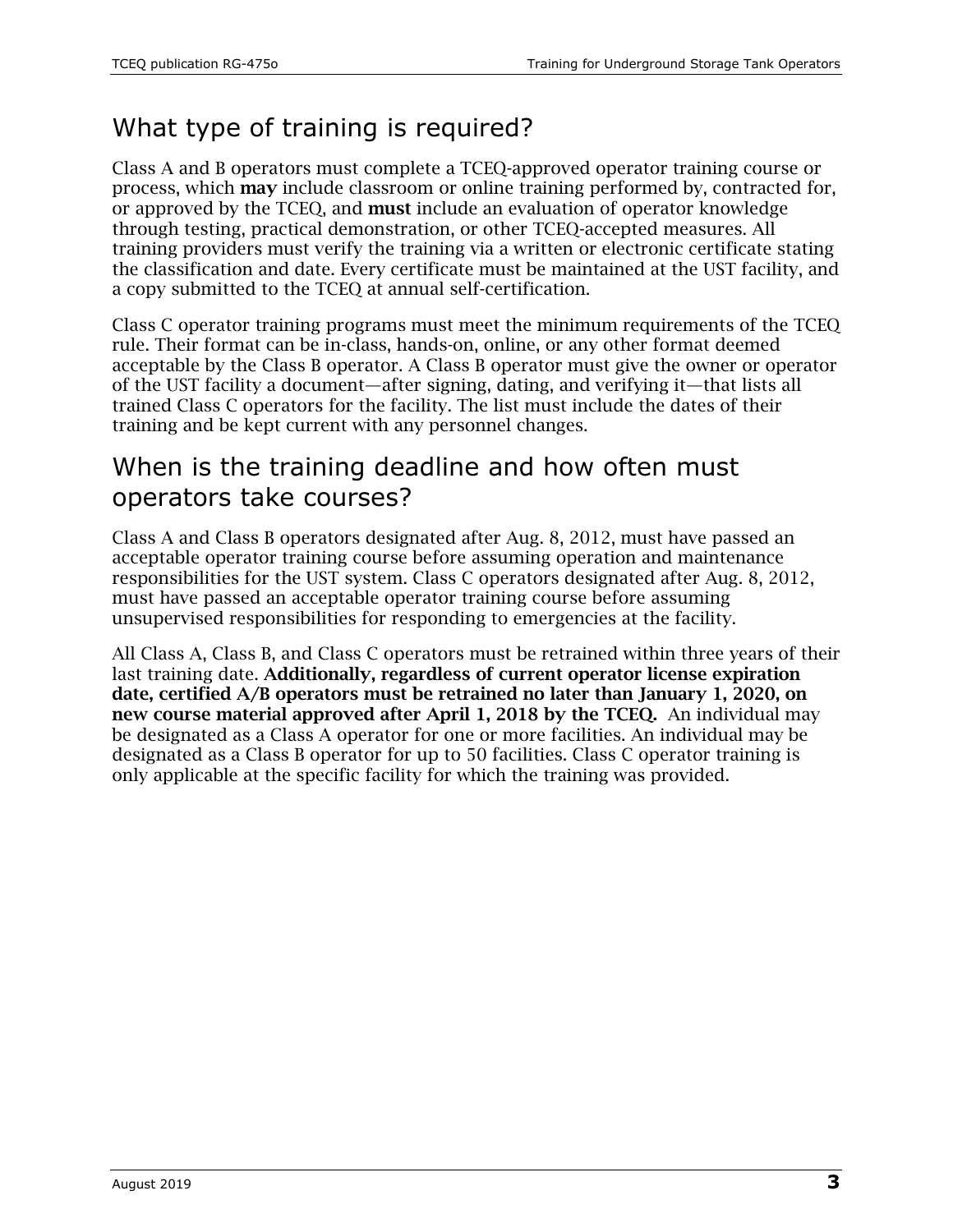# What type of training is required?

Class A and B operators must complete a TCEQ-approved operator training course or process, which may include classroom or online training performed by, contracted for, or approved by the TCEQ, and must include an evaluation of operator knowledge through testing, practical demonstration, or other TCEQ-accepted measures. All training providers must verify the training via a written or electronic certificate stating the classification and date. Every certificate must be maintained at the UST facility, and a copy submitted to the TCEQ at annual self-certification.

Class C operator training programs must meet the minimum requirements of the TCEQ rule. Their format can be in-class, hands-on, online, or any other format deemed acceptable by the Class B operator. A Class B operator must give the owner or operator of the UST facility a document—after signing, dating, and verifying it—that lists all trained Class C operators for the facility. The list must include the dates of their training and be kept current with any personnel changes.

#### When is the training deadline and how often must operators take courses?

Class A and Class B operators designated after Aug. 8, 2012, must have passed an acceptable operator training course before assuming operation and maintenance responsibilities for the UST system. Class C operators designated after Aug. 8, 2012, must have passed an acceptable operator training course before assuming unsupervised responsibilities for responding to emergencies at the facility.

All Class A, Class B, and Class C operators must be retrained within three years of their last training date. Additionally, regardless of current operator license expiration date, certified A/B operators must be retrained no later than January 1, 2020, on new course material approved after April 1, 2018 by the TCEQ. An individual may be designated as a Class A operator for one or more facilities. An individual may be designated as a Class B operator for up to 50 facilities. Class C operator training is only applicable at the specific facility for which the training was provided.